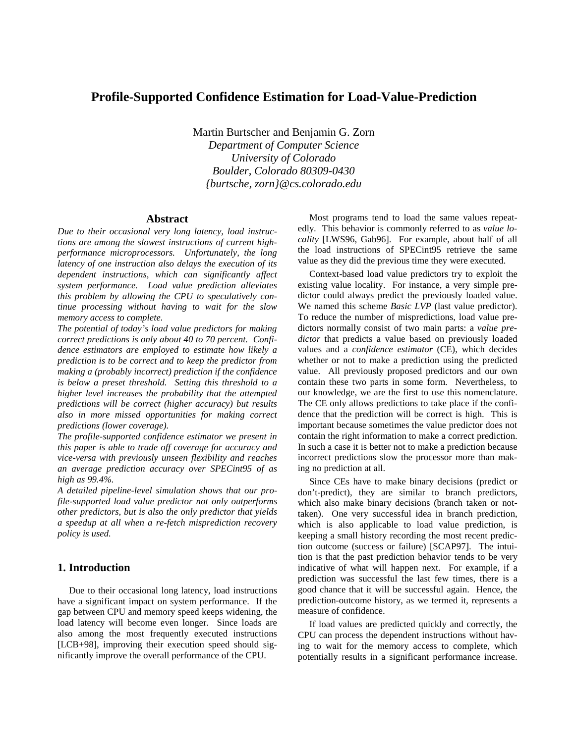# **Profile-Supported Confidence Estimation for Load-Value-Prediction**

 Martin Burtscher and Benjamin G. Zorn  *Department of Computer Science University of Colorado Boulder, Colorado 80309-0430 {burtsche, zorn}@cs.colorado.edu*

## **Abstract**

*Due to their occasional very long latency, load instructions are among the slowest instructions of current highperformance microprocessors. Unfortunately, the long latency of one instruction also delays the execution of its dependent instructions, which can significantly affect system performance. Load value prediction alleviates this problem by allowing the CPU to speculatively continue processing without having to wait for the slow memory access to complete.*

*The potential of today's load value predictors for making correct predictions is only about 40 to 70 percent. Confidence estimators are employed to estimate how likely a prediction is to be correct and to keep the predictor from making a (probably incorrect) prediction if the confidence is below a preset threshold. Setting this threshold to a higher level increases the probability that the attempted predictions will be correct (higher accuracy) but results also in more missed opportunities for making correct predictions (lower coverage).*

*The profile-supported confidence estimator we present in this paper is able to trade off coverage for accuracy and vice-versa with previously unseen flexibility and reaches an average prediction accuracy over SPECint95 of as high as 99.4%.*

*A detailed pipeline-level simulation shows that our profile-supported load value predictor not only outperforms other predictors, but is also the only predictor that yields a speedup at all when a re-fetch misprediction recovery policy is used.*

## **1. Introduction**

Due to their occasional long latency, load instructions have a significant impact on system performance. If the gap between CPU and memory speed keeps widening, the load latency will become even longer. Since loads are also among the most frequently executed instructions [LCB+98], improving their execution speed should significantly improve the overall performance of the CPU.

Most programs tend to load the same values repeatedly. This behavior is commonly referred to as *value locality* [LWS96, Gab96]. For example, about half of all the load instructions of SPECint95 retrieve the same value as they did the previous time they were executed.

Context-based load value predictors try to exploit the existing value locality. For instance, a very simple predictor could always predict the previously loaded value. We named this scheme *Basic LVP* (last value predictor). To reduce the number of mispredictions, load value predictors normally consist of two main parts: a *value predictor* that predicts a value based on previously loaded values and a *confidence estimator* (CE), which decides whether or not to make a prediction using the predicted value. All previously proposed predictors and our own contain these two parts in some form. Nevertheless, to our knowledge, we are the first to use this nomenclature. The CE only allows predictions to take place if the confidence that the prediction will be correct is high. This is important because sometimes the value predictor does not contain the right information to make a correct prediction. In such a case it is better not to make a prediction because incorrect predictions slow the processor more than making no prediction at all.

Since CEs have to make binary decisions (predict or don't-predict), they are similar to branch predictors, which also make binary decisions (branch taken or nottaken). One very successful idea in branch prediction, which is also applicable to load value prediction, is keeping a small history recording the most recent prediction outcome (success or failure) [SCAP97]. The intuition is that the past prediction behavior tends to be very indicative of what will happen next. For example, if a prediction was successful the last few times, there is a good chance that it will be successful again. Hence, the prediction-outcome history, as we termed it, represents a measure of confidence.

If load values are predicted quickly and correctly, the CPU can process the dependent instructions without having to wait for the memory access to complete, which potentially results in a significant performance increase.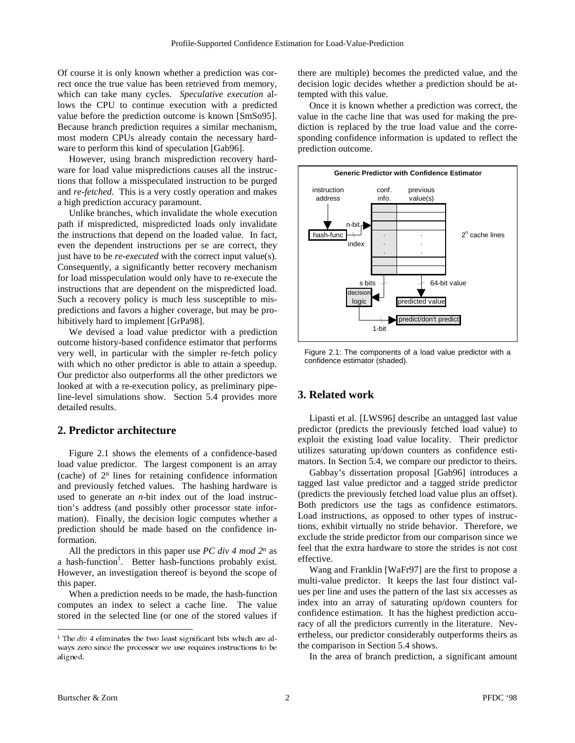Of course it is only known whether a prediction was correct once the true value has been retrieved from memory, which can take many cycles. *Speculative execution* allows the CPU to continue execution with a predicted value before the prediction outcome is known [SmSo95]. Because branch prediction requires a similar mechanism, most modern CPUs already contain the necessary hardware to perform this kind of speculation [Gab96].

However, using branch misprediction recovery hardware for load value mispredictions causes all the instructions that follow a misspeculated instruction to be purged and *re-fetched*. This is a very costly operation and makes a high prediction accuracy paramount.

Unlike branches, which invalidate the whole execution path if mispredicted, mispredicted loads only invalidate the instructions that depend on the loaded value. In fact, even the dependent instructions per se are correct, they just have to be *re-executed* with the correct input value(s). Consequently, a significantly better recovery mechanism for load misspeculation would only have to re-execute the instructions that are dependent on the mispredicted load. Such a recovery policy is much less susceptible to mispredictions and favors a higher coverage, but may be prohibitively hard to implement [GrPa98].

We devised a load value predictor with a prediction outcome history-based confidence estimator that performs very well, in particular with the simpler re-fetch policy with which no other predictor is able to attain a speedup. Our predictor also outperforms all the other predictors we looked at with a re-execution policy, as preliminary pipeline-level simulations show. Section 5.4 provides more detailed results.

## **2. Predictor architecture**

Figure 2.1 shows the elements of a confidence-based load value predictor. The largest component is an array (cache) of 2n lines for retaining confidence information and previously fetched values. The hashing hardware is used to generate an *n*-bit index out of the load instruction's address (and possibly other processor state information). Finally, the decision logic computes whether a prediction should be made based on the confidence information.

All the predictors in this paper use *PC div 4 mod 2<sup>n</sup>* as a hash-function<sup>1</sup>. Better hash-functions probably exist. However, an investigation thereof is beyond the scope of this paper.

When a prediction needs to be made, the hash-function computes an index to select a cache line. The value stored in the selected line (or one of the stored values if there are multiple) becomes the predicted value, and the decision logic decides whether a prediction should be attempted with this value.

Once it is known whether a prediction was correct, the value in the cache line that was used for making the prediction is replaced by the true load value and the corresponding confidence information is updated to reflect the prediction outcome.



Figure 2.1: The components of a load value predictor with a confidence estimator (shaded).

## **3. Related work**

Lipasti et al. [LWS96] describe an untagged last value predictor (predicts the previously fetched load value) to exploit the existing load value locality. Their predictor utilizes saturating up/down counters as confidence estimators. In Section 5.4, we compare our predictor to theirs.

Gabbay's dissertation proposal [Gab96] introduces a tagged last value predictor and a tagged stride predictor (predicts the previously fetched load value plus an offset). Both predictors use the tags as confidence estimators. Load instructions, as opposed to other types of instructions, exhibit virtually no stride behavior. Therefore, we exclude the stride predictor from our comparison since we feel that the extra hardware to store the strides is not cost effective.

Wang and Franklin [WaFr97] are the first to propose a multi-value predictor. It keeps the last four distinct values per line and uses the pattern of the last six accesses as index into an array of saturating up/down counters for confidence estimation. It has the highest prediction accuracy of all the predictors currently in the literature. Nevertheless, our predictor considerably outperforms theirs as the comparison in Section 5.4 shows.

In the area of branch prediction, a significant amount

-

<sup>&</sup>lt;sup>1</sup> The  $div$  4 eliminates the two least significant bits which are always zero since the processor we use requires instructions to be aligned.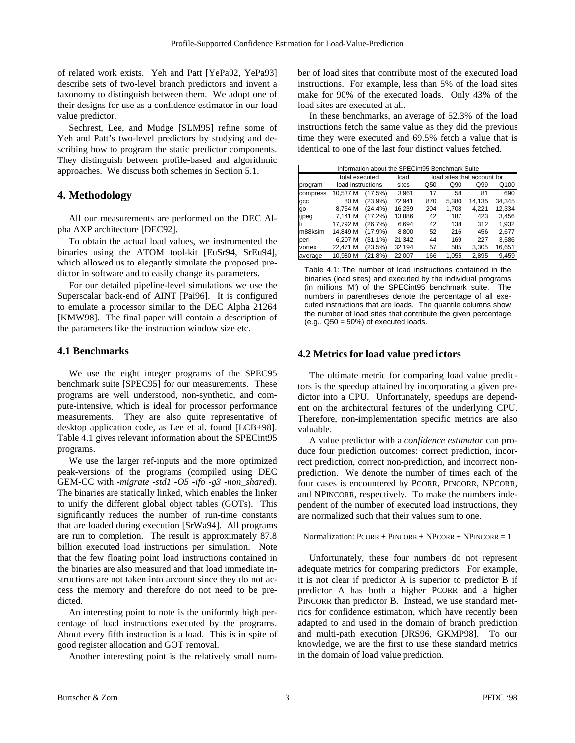of related work exists. Yeh and Patt [YePa92, YePa93] describe sets of two-level branch predictors and invent a taxonomy to distinguish between them. We adopt one of their designs for use as a confidence estimator in our load value predictor.

Sechrest, Lee, and Mudge [SLM95] refine some of Yeh and Patt's two-level predictors by studying and describing how to program the static predictor components. They distinguish between profile-based and algorithmic approaches. We discuss both schemes in Section 5.1.

## **4. Methodology**

All our measurements are performed on the DEC Alpha AXP architecture [DEC92].

To obtain the actual load values, we instrumented the binaries using the ATOM tool-kit [EuSr94, SrEu94], which allowed us to elegantly simulate the proposed predictor in software and to easily change its parameters.

For our detailed pipeline-level simulations we use the Superscalar back-end of AINT [Pai96]. It is configured to emulate a processor similar to the DEC Alpha 21264 [KMW98]. The final paper will contain a description of the parameters like the instruction window size etc.

#### **4.1 Benchmarks**

We use the eight integer programs of the SPEC95 benchmark suite [SPEC95] for our measurements. These programs are well understood, non-synthetic, and compute-intensive, which is ideal for processor performance measurements. They are also quite representative of desktop application code, as Lee et al. found [LCB+98]. Table 4.1 gives relevant information about the SPECint95 programs.

We use the larger ref-inputs and the more optimized peak-versions of the programs (compiled using DEC GEM-CC with *-migrate -std1 -O5 -ifo -g3 -non\_shared*). The binaries are statically linked, which enables the linker to unify the different global object tables (GOTs). This significantly reduces the number of run-time constants that are loaded during execution [SrWa94]. All programs are run to completion. The result is approximately 87.8 billion executed load instructions per simulation. Note that the few floating point load instructions contained in the binaries are also measured and that load immediate instructions are not taken into account since they do not access the memory and therefore do not need to be predicted.

An interesting point to note is the uniformly high percentage of load instructions executed by the programs. About every fifth instruction is a load. This is in spite of good register allocation and GOT removal.

Another interesting point is the relatively small num-

ber of load sites that contribute most of the executed load instructions. For example, less than 5% of the load sites make for 90% of the executed loads. Only 43% of the load sites are executed at all.

In these benchmarks, an average of 52.3% of the load instructions fetch the same value as they did the previous time they were executed and 69.5% fetch a value that is identical to one of the last four distinct values fetched.

| Information about the SPECint95 Benchmark Suite |                   |            |        |                             |       |        |        |  |  |
|-------------------------------------------------|-------------------|------------|--------|-----------------------------|-------|--------|--------|--|--|
|                                                 | total executed    |            | load   | load sites that account for |       |        |        |  |  |
| program                                         | load instructions |            | sites  | Q50                         | Q90   | Q99    | Q100   |  |  |
| compress                                        | 10.537 M          | (17.5%)    | 3,961  | 17                          | 58    | 81     | 690    |  |  |
| gcc                                             | 80 M              | (23.9%)    | 72.941 | 870                         | 5,380 | 14,135 | 34,345 |  |  |
| qo                                              | 8,764 M           | $(24.4\%)$ | 16,239 | 204                         | 1,708 | 4.221  | 12,334 |  |  |
| ijpeg                                           | 7.141 M           | (17.2%)    | 13,886 | 42                          | 187   | 423    | 3,456  |  |  |
|                                                 | 17.792 M          | (26.7%)    | 6.694  | 42                          | 138   | 312    | 1,932  |  |  |
| m88ksim                                         | 14.849 M          | (17.9%)    | 8,800  | 52                          | 216   | 456    | 2,677  |  |  |
| perl                                            | 6.207 M           | (31.1%)    | 21,342 | 44                          | 169   | 227    | 3,586  |  |  |
| vortex                                          | 22,471 M          | (23.5%)    | 32,194 | 57                          | 585   | 3,305  | 16,651 |  |  |
| average                                         | 10.980 M          | (21.8%)    | 22.007 | 166                         | 1.055 | 2,895  | 9.459  |  |  |

Table 4.1: The number of load instructions contained in the binaries (load sites) and executed by the individual programs (in millions 'M') of the SPECint95 benchmark suite. The numbers in parentheses denote the percentage of all executed instructions that are loads. The quantile columns show the number of load sites that contribute the given percentage  $(e.g., Q50 = 50%)$  of executed loads.

#### **4.2 Metrics for load value predictors**

The ultimate metric for comparing load value predictors is the speedup attained by incorporating a given predictor into a CPU. Unfortunately, speedups are dependent on the architectural features of the underlying CPU. Therefore, non-implementation specific metrics are also valuable.

A value predictor with a *confidence estimator* can produce four prediction outcomes: correct prediction, incorrect prediction, correct non-prediction, and incorrect nonprediction. We denote the number of times each of the four cases is encountered by PCORR, PINCORR, NPCORR, and NPINCORR, respectively. To make the numbers independent of the number of executed load instructions, they are normalized such that their values sum to one.

Normalization:  $PCORR + PINCORR + NPCORR + NPINCORR = 1$ 

Unfortunately, these four numbers do not represent adequate metrics for comparing predictors. For example, it is not clear if predictor A is superior to predictor B if predictor A has both a higher PCORR and a higher PINCORR than predictor B. Instead, we use standard metrics for confidence estimation, which have recently been adapted to and used in the domain of branch prediction and multi-path execution [JRS96, GKMP98]. To our knowledge, we are the first to use these standard metrics in the domain of load value prediction.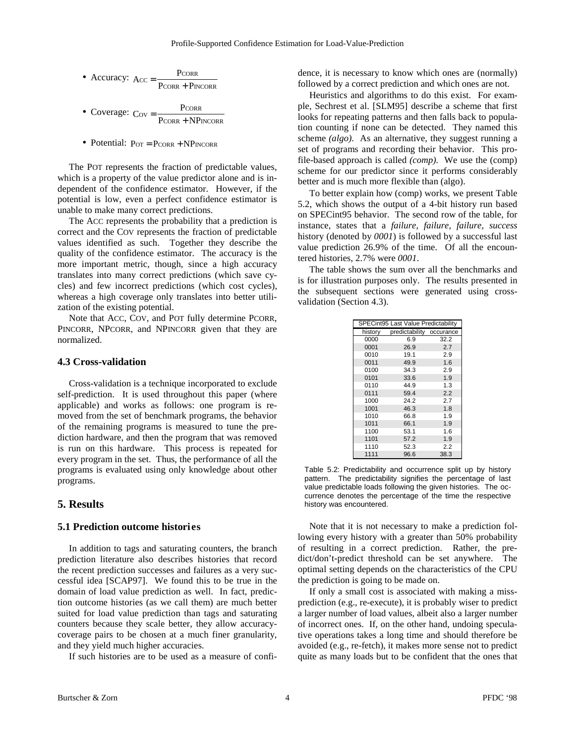• Accuracy: 
$$
Acc = \frac{PCORR}{PCORR + PINCORR}
$$

• Coverage: 
$$
C_{\text{OV}} = \frac{P_{\text{CORR}}}{P_{\text{CORR}} + NP_{\text{INCORR}}}
$$

• Potential:  $P_{OT} = P_{CORR} + NP_{INCORR}$ 

The POT represents the fraction of predictable values, which is a property of the value predictor alone and is independent of the confidence estimator. However, if the potential is low, even a perfect confidence estimator is unable to make many correct predictions.

The ACC represents the probability that a prediction is correct and the COV represents the fraction of predictable values identified as such. Together they describe the quality of the confidence estimator. The accuracy is the more important metric, though, since a high accuracy translates into many correct predictions (which save cycles) and few incorrect predictions (which cost cycles), whereas a high coverage only translates into better utilization of the existing potential.

Note that ACC, COV, and POT fully determine PCORR, PINCORR, NPCORR, and NPINCORR given that they are normalized.

## **4.3 Cross-validation**

Cross-validation is a technique incorporated to exclude self-prediction. It is used throughout this paper (where applicable) and works as follows: one program is removed from the set of benchmark programs, the behavior of the remaining programs is measured to tune the prediction hardware, and then the program that was removed is run on this hardware. This process is repeated for every program in the set. Thus, the performance of all the programs is evaluated using only knowledge about other programs.

### **5. Results**

#### **5.1 Prediction outcome histories**

In addition to tags and saturating counters, the branch prediction literature also describes histories that record the recent prediction successes and failures as a very successful idea [SCAP97]. We found this to be true in the domain of load value prediction as well. In fact, prediction outcome histories (as we call them) are much better suited for load value prediction than tags and saturating counters because they scale better, they allow accuracycoverage pairs to be chosen at a much finer granularity, and they yield much higher accuracies.

If such histories are to be used as a measure of confi-

dence, it is necessary to know which ones are (normally) followed by a correct prediction and which ones are not.

Heuristics and algorithms to do this exist. For example, Sechrest et al. [SLM95] describe a scheme that first looks for repeating patterns and then falls back to population counting if none can be detected. They named this scheme *(algo)*. As an alternative, they suggest running a set of programs and recording their behavior. This profile-based approach is called *(comp)*. We use the (comp) scheme for our predictor since it performs considerably better and is much more flexible than (algo).

To better explain how (comp) works, we present Table 5.2, which shows the output of a 4-bit history run based on SPECint95 behavior. The second row of the table, for instance, states that a *failure, failure, failure, success* history (denoted by *0001*) is followed by a successful last value prediction 26.9% of the time. Of all the encountered histories, 2.7% were *0001*.

The table shows the sum over all the benchmarks and is for illustration purposes only. The results presented in the subsequent sections were generated using crossvalidation (Section 4.3).

| <b>SPECint95 Last Value Predictability</b> |                          |      |  |  |  |  |  |
|--------------------------------------------|--------------------------|------|--|--|--|--|--|
| history                                    | predictability occurance |      |  |  |  |  |  |
| 0000                                       | 6.9                      | 32.2 |  |  |  |  |  |
| 0001                                       | 26.9                     | 2.7  |  |  |  |  |  |
| 0010                                       | 19.1                     | 2.9  |  |  |  |  |  |
| 0011                                       | 49.9                     | 1.6  |  |  |  |  |  |
| 0100                                       | 34.3                     | 2.9  |  |  |  |  |  |
| 0101                                       | 33.6                     | 1.9  |  |  |  |  |  |
| 0110                                       | 44.9                     | 1.3  |  |  |  |  |  |
| 0111                                       | 59.4                     | 2.2  |  |  |  |  |  |
| 1000                                       | 24.2                     | 2.7  |  |  |  |  |  |
| 1001                                       | 46.3                     | 1.8  |  |  |  |  |  |
| 1010                                       | 66.8                     | 1.9  |  |  |  |  |  |
| 1011                                       | 66.1                     | 1.9  |  |  |  |  |  |
| 1100                                       | 53.1                     | 1.6  |  |  |  |  |  |
| 1101                                       | 57.2                     | 1.9  |  |  |  |  |  |
| 1110                                       | 52.3                     | 2.2  |  |  |  |  |  |
| 1111                                       | 96.6                     | 38.3 |  |  |  |  |  |

Table 5.2: Predictability and occurrence split up by history pattern. The predictability signifies the percentage of last value predictable loads following the given histories. The occurrence denotes the percentage of the time the respective history was encountered.

Note that it is not necessary to make a prediction following every history with a greater than 50% probability of resulting in a correct prediction. Rather, the predict/don't-predict threshold can be set anywhere. The optimal setting depends on the characteristics of the CPU the prediction is going to be made on.

If only a small cost is associated with making a missprediction (e.g., re-execute), it is probably wiser to predict a larger number of load values, albeit also a larger number of incorrect ones. If, on the other hand, undoing speculative operations takes a long time and should therefore be avoided (e.g., re-fetch), it makes more sense not to predict quite as many loads but to be confident that the ones that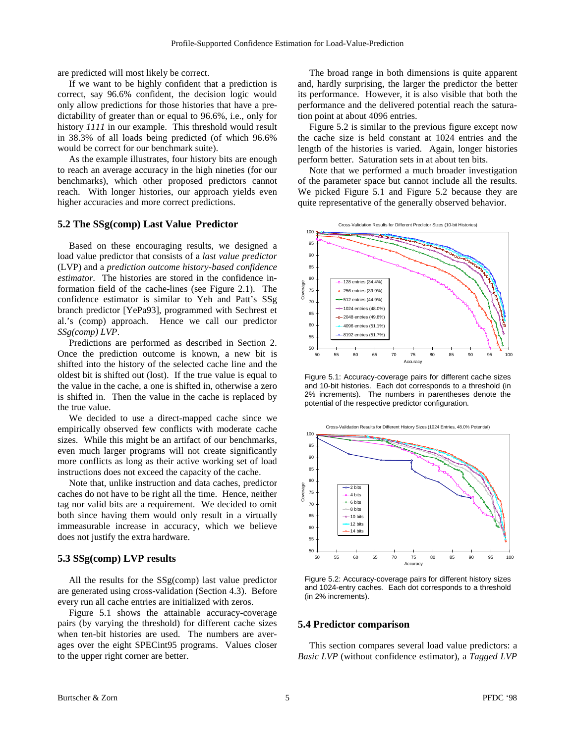are predicted will most likely be correct.

If we want to be highly confident that a prediction is correct, say 96.6% confident, the decision logic would only allow predictions for those histories that have a predictability of greater than or equal to 96.6%, i.e., only for history *1111* in our example. This threshold would result in 38.3% of all loads being predicted (of which 96.6% would be correct for our benchmark suite).

As the example illustrates, four history bits are enough to reach an average accuracy in the high nineties (for our benchmarks), which other proposed predictors cannot reach. With longer histories, our approach yields even higher accuracies and more correct predictions.

#### **5.2 The SSg(comp) Last Value Predictor**

Based on these encouraging results, we designed a load value predictor that consists of a *last value predictor* (LVP) and a *prediction outcome history-based confidence estimator*. The histories are stored in the confidence information field of the cache-lines (see Figure 2.1). The confidence estimator is similar to Yeh and Patt's SSg branch predictor [YePa93], programmed with Sechrest et al.'s (comp) approach. Hence we call our predictor *SSg(comp) LVP*.

Predictions are performed as described in Section 2. Once the prediction outcome is known, a new bit is shifted into the history of the selected cache line and the oldest bit is shifted out (lost). If the true value is equal to the value in the cache, a one is shifted in, otherwise a zero is shifted in. Then the value in the cache is replaced by the true value.

We decided to use a direct-mapped cache since we empirically observed few conflicts with moderate cache sizes. While this might be an artifact of our benchmarks, even much larger programs will not create significantly more conflicts as long as their active working set of load instructions does not exceed the capacity of the cache.

Note that, unlike instruction and data caches, predictor caches do not have to be right all the time. Hence, neither tag nor valid bits are a requirement. We decided to omit both since having them would only result in a virtually immeasurable increase in accuracy, which we believe does not justify the extra hardware.

#### **5.3 SSg(comp) LVP results**

All the results for the SSg(comp) last value predictor are generated using cross-validation (Section 4.3). Before every run all cache entries are initialized with zeros.

Figure 5.1 shows the attainable accuracy-coverage pairs (by varying the threshold) for different cache sizes when ten-bit histories are used. The numbers are averages over the eight SPECint95 programs. Values closer to the upper right corner are better.

The broad range in both dimensions is quite apparent and, hardly surprising, the larger the predictor the better its performance. However, it is also visible that both the performance and the delivered potential reach the saturation point at about 4096 entries.

Figure 5.2 is similar to the previous figure except now the cache size is held constant at 1024 entries and the length of the histories is varied. Again, longer histories perform better. Saturation sets in at about ten bits.

Note that we performed a much broader investigation of the parameter space but cannot include all the results. We picked Figure 5.1 and Figure 5.2 because they are quite representative of the generally observed behavior.



Figure 5.1: Accuracy-coverage pairs for different cache sizes and 10-bit histories. Each dot corresponds to a threshold (in 2% increments). The numbers in parentheses denote the potential of the respective predictor configuration.



Figure 5.2: Accuracy-coverage pairs for different history sizes and 1024-entry caches. Each dot corresponds to a threshold (in 2% increments).

#### **5.4 Predictor comparison**

This section compares several load value predictors: a *Basic LVP* (without confidence estimator), a *Tagged LVP*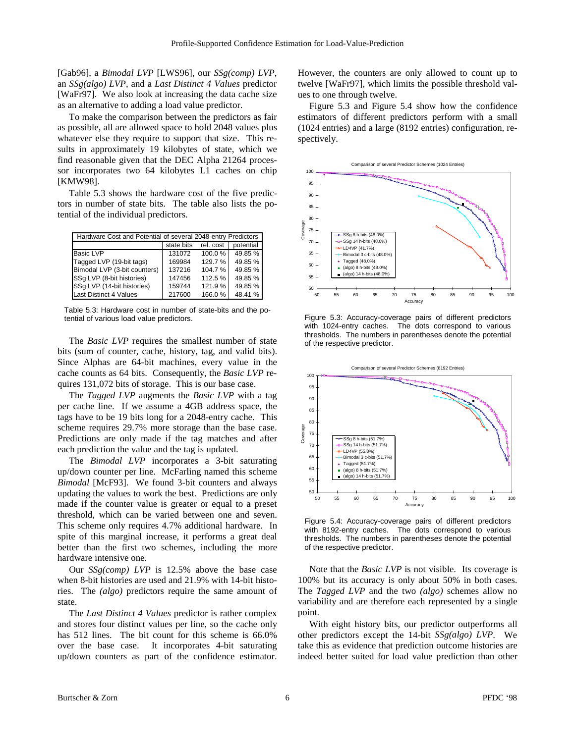[Gab96], a *Bimodal LVP* [LWS96], our *SSg(comp) LVP*, an *SSg(algo) LVP*, and a *Last Distinct 4 Values* predictor [WaFr97]. We also look at increasing the data cache size as an alternative to adding a load value predictor.

To make the comparison between the predictors as fair as possible, all are allowed space to hold 2048 values plus whatever else they require to support that size. This results in approximately 19 kilobytes of state, which we find reasonable given that the DEC Alpha 21264 processor incorporates two 64 kilobytes L1 caches on chip [KMW98].

Table 5.3 shows the hardware cost of the five predictors in number of state bits. The table also lists the potential of the individual predictors.

| Hardware Cost and Potential of several 2048-entry Predictors |            |           |           |  |  |  |  |
|--------------------------------------------------------------|------------|-----------|-----------|--|--|--|--|
|                                                              | state bits | rel. cost | potential |  |  |  |  |
| <b>Basic LVP</b>                                             | 131072     | 100.0%    | 49.85%    |  |  |  |  |
| Tagged LVP (19-bit tags)                                     | 169984     | 129.7%    | 49.85%    |  |  |  |  |
| Bimodal LVP (3-bit counters)                                 | 137216     | 104.7%    | 49.85 %   |  |  |  |  |
| SSq LVP (8-bit histories)                                    | 147456     | 112.5 %   | 49.85 %   |  |  |  |  |
| SSq LVP (14-bit histories)                                   | 159744     | 121.9%    | 49.85%    |  |  |  |  |
| <b>Last Distinct 4 Values</b>                                | 217600     | 166.0%    | 48.41%    |  |  |  |  |

Table 5.3: Hardware cost in number of state-bits and the potential of various load value predictors.

The *Basic LVP* requires the smallest number of state bits (sum of counter, cache, history, tag, and valid bits). Since Alphas are 64-bit machines, every value in the cache counts as 64 bits. Consequently, the *Basic LVP* requires 131,072 bits of storage. This is our base case.

The *Tagged LVP* augments the *Basic LVP* with a tag per cache line. If we assume a 4GB address space, the tags have to be 19 bits long for a 2048-entry cache. This scheme requires 29.7% more storage than the base case. Predictions are only made if the tag matches and after each prediction the value and the tag is updated.

The *Bimodal LVP* incorporates a 3-bit saturating up/down counter per line. McFarling named this scheme *Bimodal* [McF93]. We found 3-bit counters and always updating the values to work the best. Predictions are only made if the counter value is greater or equal to a preset threshold, which can be varied between one and seven. This scheme only requires 4.7% additional hardware. In spite of this marginal increase, it performs a great deal better than the first two schemes, including the more hardware intensive one.

Our *SSg(comp) LVP* is 12.5% above the base case when 8-bit histories are used and 21.9% with 14-bit histories. The *(algo)* predictors require the same amount of state.

The *Last Distinct 4 Values* predictor is rather complex and stores four distinct values per line, so the cache only has 512 lines. The bit count for this scheme is 66.0% over the base case. It incorporates 4-bit saturating up/down counters as part of the confidence estimator.

However, the counters are only allowed to count up to twelve [WaFr97], which limits the possible threshold values to one through twelve.

Figure 5.3 and Figure 5.4 show how the confidence estimators of different predictors perform with a small (1024 entries) and a large (8192 entries) configuration, respectively.



Figure 5.3: Accuracy-coverage pairs of different predictors with 1024-entry caches. The dots correspond to various thresholds. The numbers in parentheses denote the potential of the respective predictor.



Figure 5.4: Accuracy-coverage pairs of different predictors with 8192-entry caches. The dots correspond to various thresholds. The numbers in parentheses denote the potential of the respective predictor.

Note that the *Basic LVP* is not visible. Its coverage is 100% but its accuracy is only about 50% in both cases. The *Tagged LVP* and the two *(algo)* schemes allow no variability and are therefore each represented by a single point.

With eight history bits, our predictor outperforms all other predictors except the 14-bit *SSg(algo) LVP*. We take this as evidence that prediction outcome histories are indeed better suited for load value prediction than other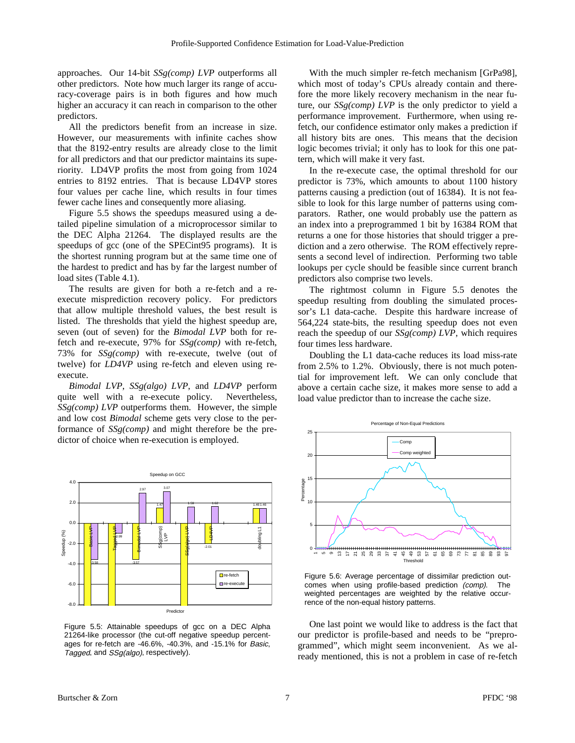approaches. Our 14-bit *SSg(comp) LVP* outperforms all other predictors. Note how much larger its range of accuracy-coverage pairs is in both figures and how much higher an accuracy it can reach in comparison to the other predictors.

All the predictors benefit from an increase in size. However, our measurements with infinite caches show that the 8192-entry results are already close to the limit for all predictors and that our predictor maintains its superiority. LD4VP profits the most from going from 1024 entries to 8192 entries. That is because LD4VP stores four values per cache line, which results in four times fewer cache lines and consequently more aliasing.

Figure 5.5 shows the speedups measured using a detailed pipeline simulation of a microprocessor similar to the DEC Alpha 21264. The displayed results are the speedups of gcc (one of the SPECint95 programs). It is the shortest running program but at the same time one of the hardest to predict and has by far the largest number of load sites (Table 4.1).

The results are given for both a re-fetch and a reexecute misprediction recovery policy. For predictors that allow multiple threshold values, the best result is listed. The thresholds that yield the highest speedup are, seven (out of seven) for the *Bimodal LVP* both for refetch and re-execute, 97% for *SSg(comp)* with re-fetch, 73% for *SSg(comp)* with re-execute, twelve (out of twelve) for *LD4VP* using re-fetch and eleven using reexecute.

*Bimodal LVP*, *SSg(algo) LVP*, and *LD4VP* perform quite well with a re-execute policy. Nevertheless, *SSg(comp) LVP* outperforms them. However, the simple and low cost *Bimodal* scheme gets very close to the performance of *SSg(comp)* and might therefore be the predictor of choice when re-execution is employed.



Figure 5.5: Attainable speedups of gcc on a DEC Alpha 21264-like processor (the cut-off negative speedup percentages for re-fetch are -46.6%, -40.3%, and -15.1% for Basic, Tagged, and SSg(algo), respectively).

With the much simpler re-fetch mechanism [GrPa98], which most of today's CPUs already contain and therefore the more likely recovery mechanism in the near future, our *SSg(comp) LVP* is the only predictor to yield a performance improvement. Furthermore, when using refetch, our confidence estimator only makes a prediction if all history bits are ones. This means that the decision logic becomes trivial; it only has to look for this one pattern, which will make it very fast.

In the re-execute case, the optimal threshold for our predictor is 73%, which amounts to about 1100 history patterns causing a prediction (out of 16384). It is not feasible to look for this large number of patterns using comparators. Rather, one would probably use the pattern as an index into a preprogrammed 1 bit by 16384 ROM that returns a one for those histories that should trigger a prediction and a zero otherwise. The ROM effectively represents a second level of indirection. Performing two table lookups per cycle should be feasible since current branch predictors also comprise two levels.

The rightmost column in Figure 5.5 denotes the speedup resulting from doubling the simulated processor's L1 data-cache. Despite this hardware increase of 564,224 state-bits, the resulting speedup does not even reach the speedup of our *SSg(comp) LVP*, which requires four times less hardware.

Doubling the L1 data-cache reduces its load miss-rate from 2.5% to 1.2%. Obviously, there is not much potential for improvement left. We can only conclude that above a certain cache size, it makes more sense to add a load value predictor than to increase the cache size.



Figure 5.6: Average percentage of dissimilar prediction outcomes when using profile-based prediction (comp). The weighted percentages are weighted by the relative occurrence of the non-equal history patterns.

One last point we would like to address is the fact that our predictor is profile-based and needs to be "preprogrammed", which might seem inconvenient. As we already mentioned, this is not a problem in case of re-fetch